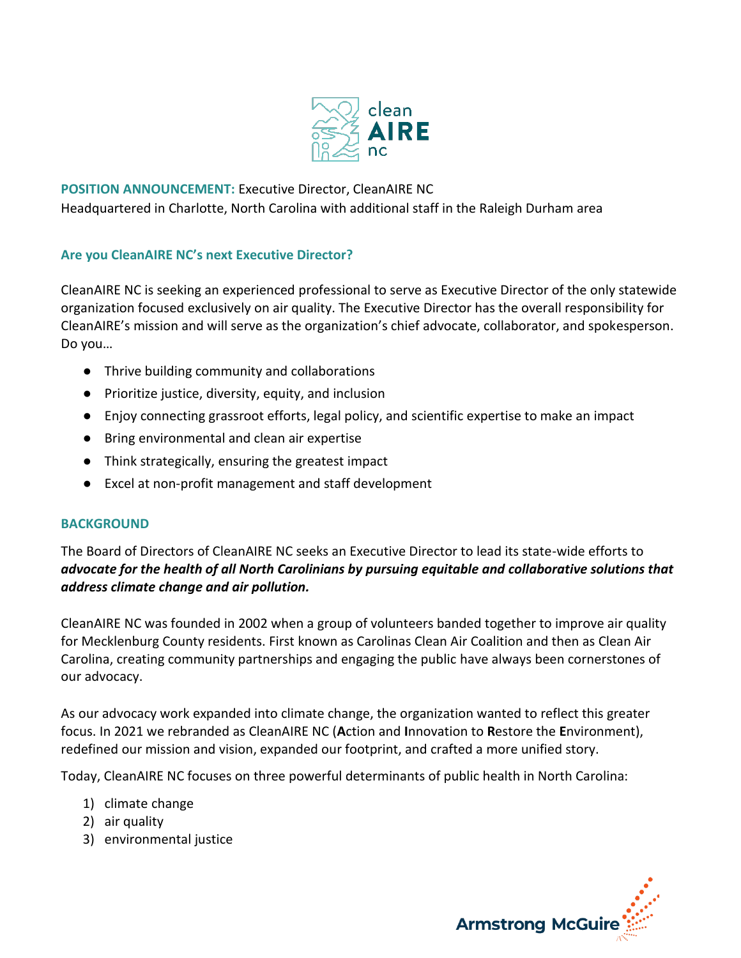

# **POSITION ANNOUNCEMENT:** Executive Director, CleanAIRE NC Headquartered in Charlotte, North Carolina with additional staff in the Raleigh Durham area

## **Are you CleanAIRE NC's next Executive Director?**

CleanAIRE NC is seeking an experienced professional to serve as Executive Director of the only statewide organization focused exclusively on air quality. The Executive Director has the overall responsibility for CleanAIRE's mission and will serve as the organization's chief advocate, collaborator, and spokesperson. Do you…

- Thrive building community and collaborations
- Prioritize justice, diversity, equity, and inclusion
- Enjoy connecting grassroot efforts, legal policy, and scientific expertise to make an impact
- Bring environmental and clean air expertise
- Think strategically, ensuring the greatest impact
- Excel at non-profit management and staff development

#### **BACKGROUND**

The Board of Directors of CleanAIRE NC seeks an Executive Director to lead its state-wide efforts to *advocate for the health of all North Carolinians by pursuing equitable and collaborative solutions that address climate change and air pollution.*

CleanAIRE NC was founded in 2002 when a group of volunteers banded together to improve air quality for Mecklenburg County residents. First known as Carolinas Clean Air Coalition and then as Clean Air Carolina, creating community partnerships and engaging the public have always been cornerstones of our advocacy.

As our advocacy work expanded into climate change, the organization wanted to reflect this greater focus. In 2021 we rebranded as CleanAIRE NC (**A**ction and **I**nnovation to **R**estore the **E**nvironment), redefined our mission and vision, expanded our footprint, and crafted a more unified story.

Today, CleanAIRE NC focuses on three powerful determinants of public health in North Carolina:

- 1) climate change
- 2) air quality
- 3) environmental justice

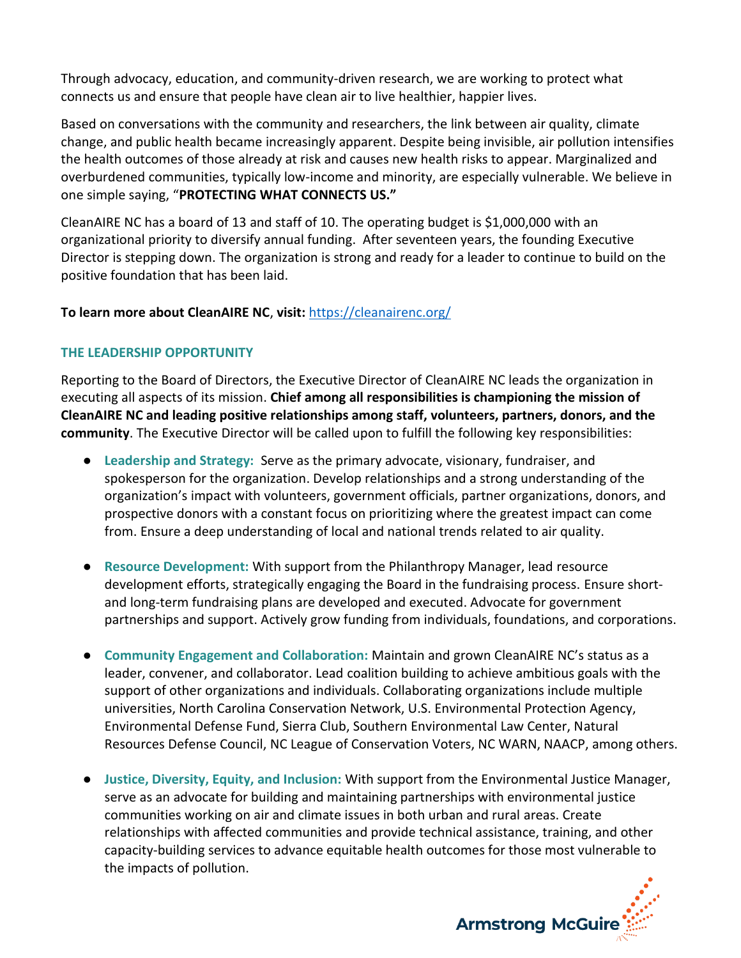Through advocacy, education, and community-driven research, we are working to protect what connects us and ensure that people have clean air to live healthier, happier lives.

Based on conversations with the community and researchers, the link between air quality, climate change, and public health became increasingly apparent. Despite being invisible, air pollution intensifies the health outcomes of those already at risk and causes new health risks to appear. Marginalized and overburdened communities, typically low-income and minority, are especially vulnerable. We believe in one simple saying, "**PROTECTING WHAT CONNECTS US."**

CleanAIRE NC has a board of 13 and staff of 10. The operating budget is \$1,000,000 with an organizational priority to diversify annual funding. After seventeen years, the founding Executive Director is stepping down. The organization is strong and ready for a leader to continue to build on the positive foundation that has been laid.

## **To learn more about CleanAIRE NC**, **visit:** <https://cleanairenc.org/>

#### **THE LEADERSHIP OPPORTUNITY**

Reporting to the Board of Directors, the Executive Director of CleanAIRE NC leads the organization in executing all aspects of its mission. **Chief among all responsibilities is championing the mission of CleanAIRE NC and leading positive relationships among staff, volunteers, partners, donors, and the community**. The Executive Director will be called upon to fulfill the following key responsibilities:

- **Leadership and Strategy:** Serve as the primary advocate, visionary, fundraiser, and spokesperson for the organization. Develop relationships and a strong understanding of the organization's impact with volunteers, government officials, partner organizations, donors, and prospective donors with a constant focus on prioritizing where the greatest impact can come from. Ensure a deep understanding of local and national trends related to air quality.
- **Resource Development:** With support from the Philanthropy Manager, lead resource development efforts, strategically engaging the Board in the fundraising process. Ensure shortand long-term fundraising plans are developed and executed. Advocate for government partnerships and support. Actively grow funding from individuals, foundations, and corporations.
- **Community Engagement and Collaboration:** Maintain and grown CleanAIRE NC's status as a leader, convener, and collaborator. Lead coalition building to achieve ambitious goals with the support of other organizations and individuals. Collaborating organizations include multiple universities, North Carolina Conservation Network, U.S. Environmental Protection Agency, Environmental Defense Fund, Sierra Club, Southern Environmental Law Center, Natural Resources Defense Council, NC League of Conservation Voters, NC WARN, NAACP, among others.
- **Justice, Diversity, Equity, and Inclusion:** With support from the Environmental Justice Manager, serve as an advocate for building and maintaining partnerships with environmental justice communities working on air and climate issues in both urban and rural areas. Create relationships with affected communities and provide technical assistance, training, and other capacity-building services to advance equitable health outcomes for those most vulnerable to the impacts of pollution.

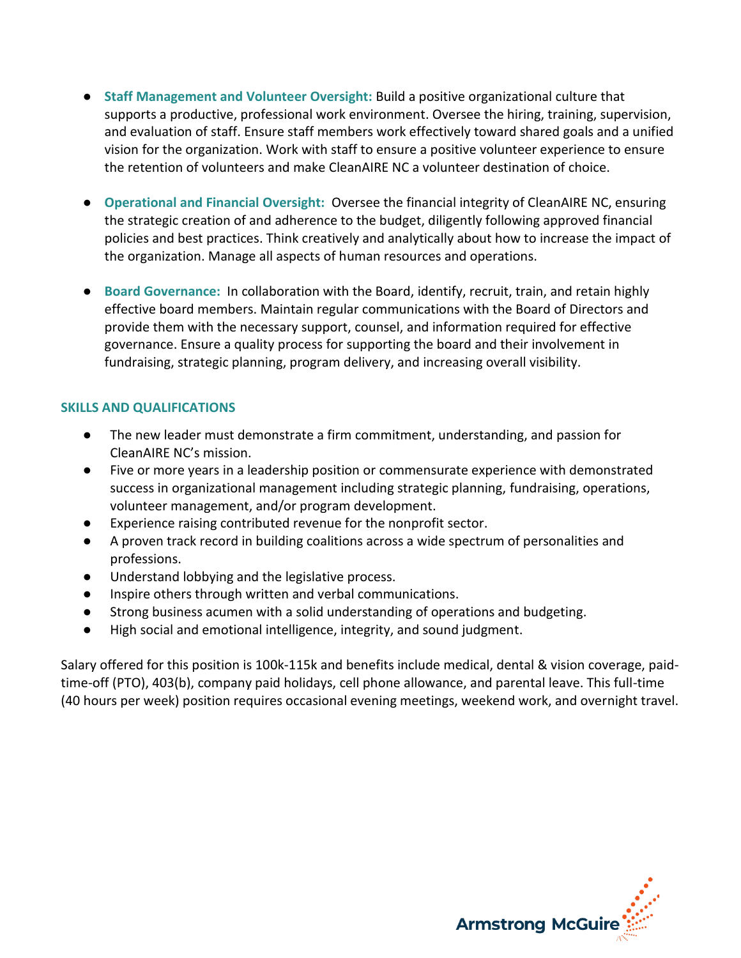- **Staff Management and Volunteer Oversight:** Build a positive organizational culture that supports a productive, professional work environment. Oversee the hiring, training, supervision, and evaluation of staff. Ensure staff members work effectively toward shared goals and a unified vision for the organization. Work with staff to ensure a positive volunteer experience to ensure the retention of volunteers and make CleanAIRE NC a volunteer destination of choice.
- **Operational and Financial Oversight:** Oversee the financial integrity of CleanAIRE NC, ensuring the strategic creation of and adherence to the budget, diligently following approved financial policies and best practices. Think creatively and analytically about how to increase the impact of the organization. Manage all aspects of human resources and operations.
- **Board Governance: In collaboration with the Board, identify, recruit, train, and retain highly** effective board members. Maintain regular communications with the Board of Directors and provide them with the necessary support, counsel, and information required for effective governance. Ensure a quality process for supporting the board and their involvement in fundraising, strategic planning, program delivery, and increasing overall visibility.

#### **SKILLS AND QUALIFICATIONS**

- The new leader must demonstrate a firm commitment, understanding, and passion for CleanAIRE NC's mission.
- Five or more years in a leadership position or commensurate experience with demonstrated success in organizational management including strategic planning, fundraising, operations, volunteer management, and/or program development.
- Experience raising contributed revenue for the nonprofit sector.
- A proven track record in building coalitions across a wide spectrum of personalities and professions.
- Understand lobbying and the legislative process.
- Inspire others through written and verbal communications.
- Strong business acumen with a solid understanding of operations and budgeting.
- High social and emotional intelligence, integrity, and sound judgment.

Salary offered for this position is 100k-115k and benefits include medical, dental & vision coverage, paidtime-off (PTO), 403(b), company paid holidays, cell phone allowance, and parental leave. This full-time (40 hours per week) position requires occasional evening meetings, weekend work, and overnight travel.